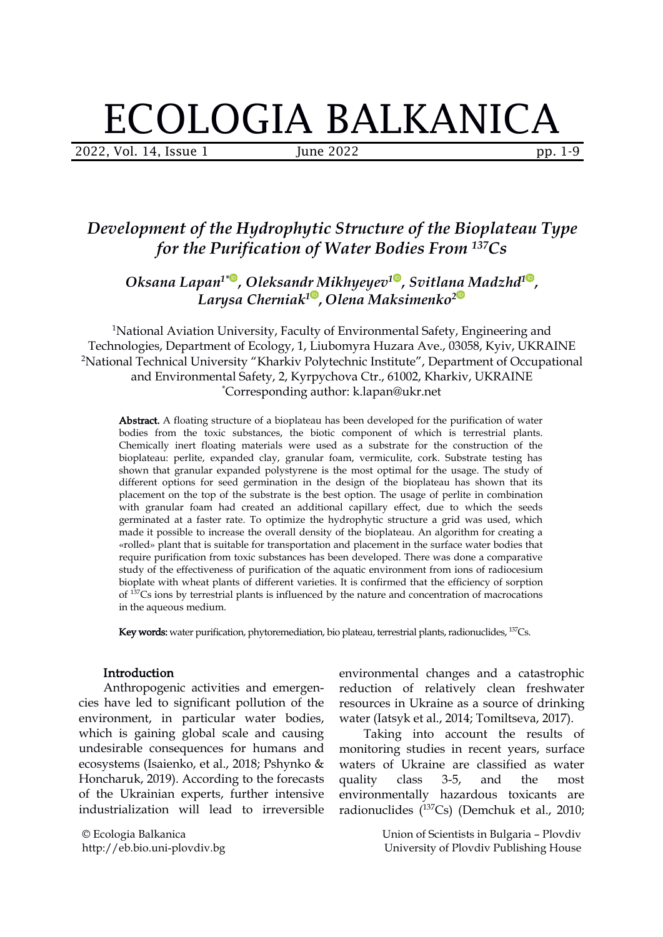# ECOLOGIA BALKANICA

2022, Vol. 14, Issue 1 June 2022 pp. 1-9

# *Development of the Hydrophytic Structure of the Bioplateau Type for the Purification of Water Bodies From <sup>137</sup>Cs*

*Oksana Lapan 1[\\*](https://orcid.org/0000-0001-6509-4456) , Oleksandr Mikhyeyev [1](https://orcid.org/0000-0003-4369-1019) , Svitlana Madzhd 1 , Larysa Cherniak 1 , Olena Maksimenko [2](https://orcid.org/0000-0003-3730-2400)*

<sup>1</sup>National Aviation University, Faculty of Environmental Safety, Engineering and Technologies, Department of Еcology, 1, Liubomyra Huzara Аve., 03058, Kyiv, UKRAINE <sup>2</sup>National Technical University "Kharkiv Polytechnic Institute", Department of Occupational and Environmental Safety, 2, Kyrpychova Сtr., 61002, Kharkiv, UKRAINE \*Corresponding author: k.lapan@ukr.net

Abstract. A floating structure of a bioplateau has been developed for the purification of water bodies from the toxic substances, the biotic component of which is terrestrial plants. Chemically inert floating materials were used as a substrate for the construction of the bioplateau: perlite, expanded clay, granular foam, vermiculite, cork. Substrate testing has shown that granular expanded polystyrene is the most optimal for the usage. The study of different options for seed germination in the design of the bioplateau has shown that its placement on the top of the substrate is the best option. The usage of perlite in combination with granular foam had created an additional capillary effect, due to which the seeds germinated at a faster rate. To optimize the hydrophytic structure a grid was used, which made it possible to increase the overall density of the bioplateau. An algorithm for creating a «rolled» plant that is suitable for transportation and placement in the surface water bodies that require purification from toxic substances has been developed. There was done a comparative study of the effectiveness of purification of the aquatic environment from ions of radiocesium bioplate with wheat plants of different varieties. It is confirmed that the efficiency of sorption of <sup>137</sup>Cs ions by terrestrial plants is influenced by the nature and concentration of macrocations in the aqueous medium.

Key words: water purification, phytoremediation, bio plateau, terrestrial plants, radionuclides, <sup>137</sup>Cs.

## Introduction

Anthropogenic activities and emergen cies have led to significant pollution of the environment, in particular water bodies, which is gaining global scale and causing undesirable consequences for humans and ecosystems (Isaienko, et al., 2018; Pshynko & Honcharuk, 2019). According to the forecasts quality class of the Ukrainian experts, further intensive industrialization will lead to irreversible

© Ecologia Balkanica http://eb.bio.uni-plovdiv.bg environmental changes and a catastrophic reduction of relatively clean freshwater resources in Ukraine as a source of drinking water (Iatsyk et al., 2014; Tomiltseva, 2017).

Taking into account the results of monitoring studies in recent years, surface waters of Ukraine are classified as water quality class 3-5, and the most environmentally hazardous toxicants are radionuclides ( <sup>137</sup>Сs) (Demchuk et al., 2010;

> Union of Scientists in Bulgaria – Plovdiv University of Plovdiv Publishing House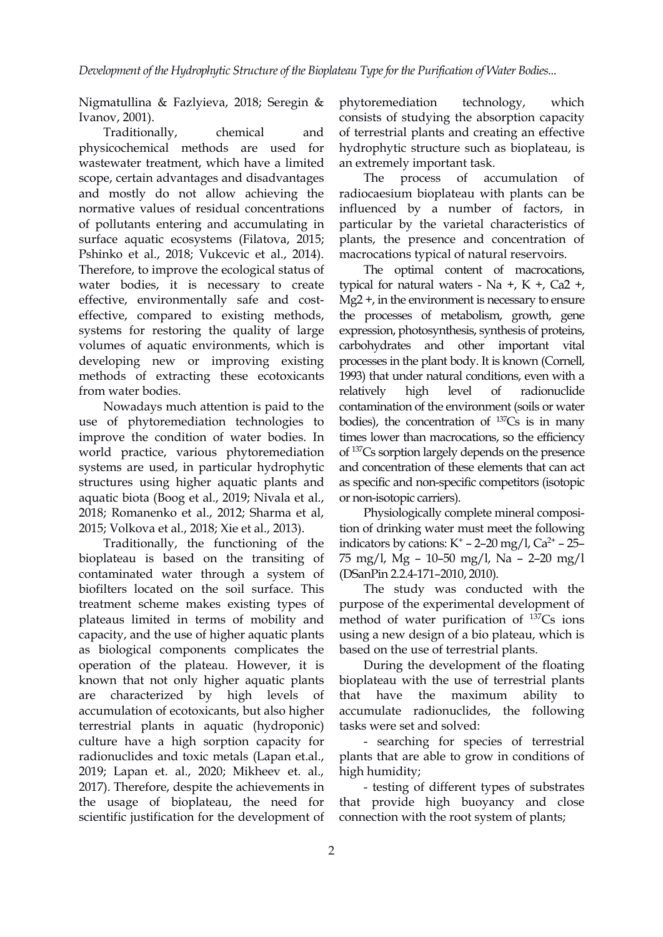Nigmatullina & Fazlyieva, 2018; Seregin & phytoremediation technology, Ivanov, 2001).

physicochemical methods are used for wastewater treatment, which have a limited scope, certain advantages and disadvantages The process of and mostly do not allow achieving the normative values of residual concentrations of pollutants entering and accumulating in surface aquatic ecosystems (Filatova, 2015; Pshinko et al., 2018; Vukcevic et al., 2014). Therefore, to improve the ecological status of water bodies, it is nec[ess](https://orcid.org/0000-0001-6509-4456)ary to create effective, environmentally safe and c[ost](https://orcid.org/0000-0003-4192-3955) effective, compared to existing methods, systems for restoring the quality of large volumes of aquatic environments, which is developing new or improving existing methods of extracting these ecotoxicants from water bodies.

Nowadays much attention is paid to the use of phytoremediation technologies to improve the condition of water bodies. In world practice, various phytoremediation systems are used, in particular hydrophytic structures using higher aquatic plants and aquatic biota (Boog et al., 2019; Nivala et al., 2018; Romanenko et al., 2012; Sharma et al,2015; Volkova et al., 2018; Xie et al., 2013).

Traditionally, the functioning of the bioplateau is based on the transiting of contaminated water through a system of biofilters located on the soil surface. This treatment scheme makes existing types of plateaus limited in terms of mobility and capacity, and the use of higher aquatic plants as biological components complicates the operation of the plateau. However, it is known that not only higher aquatic plants are characterized by high levels of accumulation of ecotoxicants, but also higher terrestrial plants in aquatic (hydroponic) culture have a high sorption capacity for radionuclides and toxic metals (Lapan et.al., 2019; Lapan et. al., 2020; Mikheev et. al., 2017). Therefore, despite the achievements in the usage of bioplateau, the need for scientific justification for the development of

Traditionally, chemical and of terrestrial plants and creating an effective phytoremediation technology, which consists of studying the absorption capacity hydrophytic structure such as bioplateau, is an extremely important task.

> accumulation of radiocaesium bioplateau with plants can be influenced by a number of factors, in particular by the varietal characteristics of plants, the presence and concentration of macrocations typical of natural reservoirs.

The [op](https://orcid.org/0000-0003-4369-1019)timal content of m[ac](https://orcid.org/0000-0003-2857-894X)rocations, typical for natural waters - Na  $+$ , K  $+$ , Ca2  $+$ , Mg2 +, in the environ[men](https://orcid.org/0000-0003-3730-2400)t is necessary to ensure the processes of metabolism, growth, gene expression, photosynthesis, synthesis of proteins, carbohydrates and other important vital processes in the plant body. It is known (Cornell, 1993) that under natural conditions, even with a relatively high level of radionuclide contamination of the environment (soils or water bodies), the concentration of  $^{137}Cs$  is in many times lower than macrocations, so the efficiency of <sup>137</sup>Cs sorption largely depends on the presence and concentration of these elements that can act as specific and non-specific competitors (isotopic or non-isotopic carriers).

Physiologically complete mineral composition of drinking water must meet the following indicators by cations:  $K^+$  – 2–20 mg/l, Ca<sup>2+</sup> – 25– 75 mg/l, Мg – 10–50 mg/l, Na – 2–20 mg/l (DSanPin 2.2.4-171–2010, 2010).

The study was conducted with the purpose of the experimental development of method of water purification of <sup>137</sup>Cs ions using a new design of a bio plateau, which is based on the use of terrestrial plants.

During the development of the floating bioplateau with the use of terrestrial plants the maximum ability to accumulate radionuclides, the following tasks were set and solved:

- searching for species of terrestrial plants that are able to grow in conditions of high humidity;

- testing of different types of substrates that provide high buoyancy and close connection with the root system of plants;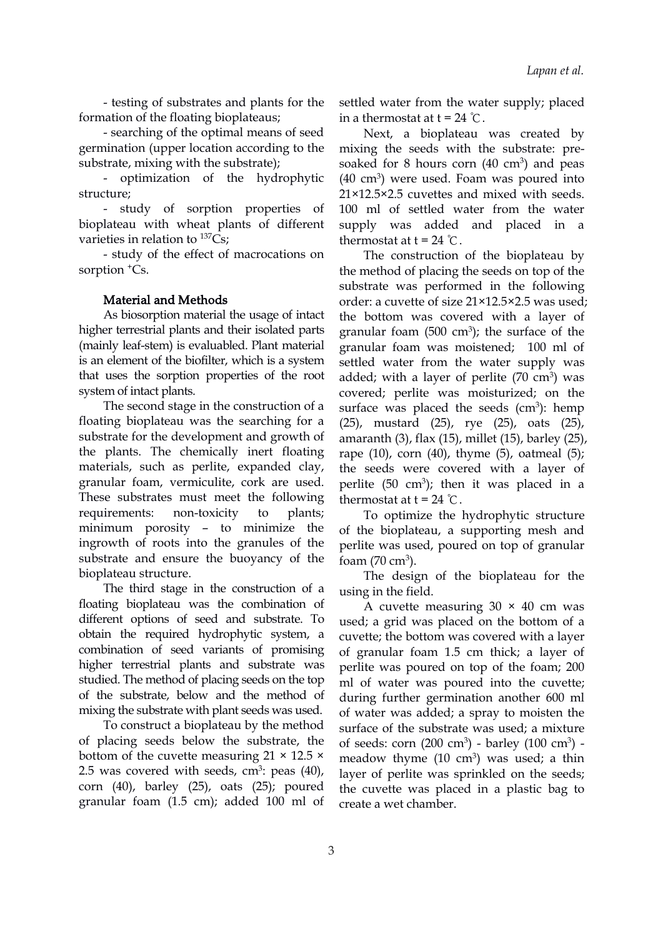- testing of substrates and plants for the formation of the floating bioplateaus;

- searching of the optimal means of seed germination (upper location according to the substrate, mixing with the substrate);

- optimization of the hydrophytic structure;

- study of sorption properties of bioplateau with wheat plants of different varieties in relation to <sup>137</sup>Cs;

- study of the effect of macrocations on sorption <sup>+</sup>Cs.

### Material and Мethods

As biosorption material the usage of intact higher terrestrial plants and their isolated parts (mainly leaf-stem) is evaluabled. Plant material is an element of the biofilter, which is a system that uses the sorption properties of the root system of intact plants.

The second stage in the construction of a floating bioplateau was the searching for a substrate for the development and growth of the plants. The chemically inert floating materials, such as perlite, expanded clay, granular foam, vermiculite, cork are used. These substrates must meet the following requirements: non-toxicity to plants; minimum porosity – to minimize the ingrowth of roots into the granules of the substrate and ensure the buoyancy of the bioplateau structure.

The third stage in the construction of a floating bioplateau was the combination of different options of seed and substrate. To obtain the required hydrophytic system, a combination of seed variants of promising higher terrestrial plants and substrate was studied. The method of placing seeds on the top of the substrate, below and the method of mixing the substrate with plant seeds was used.

To construct a bioplateau by the method of placing seeds below the substrate, the bottom of the cuvette measuring  $21 \times 12.5 \times$ 2.5 was covered with seeds, cm<sup>3</sup>: peas  $(40)$ , layer of p corn (40), barley (25), oats (25); poured granular foam (1.5 cm); added 100ml of

settled water from the water supply; placed in a thermostat at  $t = 24$  °C.

Next, a bioplateau was created by mixing the seeds with the substrate: presoaked for 8 hours corn  $(40 \text{ cm}^3)$  and peas  $(40 \text{ cm}^3)$  were used. Foam was poured into 21×12.5×2.5 cuvettes and mixed with seeds. 100 ml of settled water from the water supply was added and placed in a thermostat at  $t = 24$  °C.

The construction of the bioplateau by the meth[od](https://orcid.org/0000-0003-4369-1019) of placing the seeds on top of the substrate was per[f](https://orcid.org/0000-0003-2857-894X)ormed in the following order: a cuvette of si[ze](https://orcid.org/0000-0003-3730-2400) 21×12.5×2.5 was used; the bottom was covered with a layer of granular foam  $(500 \text{ cm}^3)$ ; the surface of the granular foam was moistened; 100 ml of settled water from the water supply was added; with a layer of perlite  $(70 \text{ cm}^3)$  was covered; perlite was moisturized; on the surface was placed the seeds  $(cm<sup>3</sup>)$ : hemp (25), mustard (25), rye (25), oats (25), amaranth (3), flax (15), millet (15), barley (25), rape  $(10)$ , corn  $(40)$ , thyme  $(5)$ , oatmeal  $(5)$ ; the seeds were covered with a layer of perlite  $(50 \text{ cm}^3)$ ; then it was placed in a thermostat at  $t = 24$  °C.

To optimize the hydrophytic structure of the bioplateau, a supporting mesh and perlite was used, poured on top of granular foam  $(70 \text{ cm}^3)$ .

The design of the bioplateau for the using in the field.

A cuvette measuring  $30 \times 40$  cm was used; a grid was placed on the bottom of a cuvette; the bottom was covered with a layer of granular foam 1.5 cm thick; a layer of perlite was poured on top of the foam; 200 ml of water was poured into the cuvette; during further germination another 600 ml of water was added; a spray to moisten the surface of the substrate was used; a mixture of seeds: corn  $(200 \text{ cm}^3)$  - barley  $(100 \text{ cm}^3)$  meadow thyme  $(10 \text{ cm}^3)$  was used; a thin layer of perlite was sprinkled on the seeds; the cuvette was placed in a plastic bag to create a wet chamber.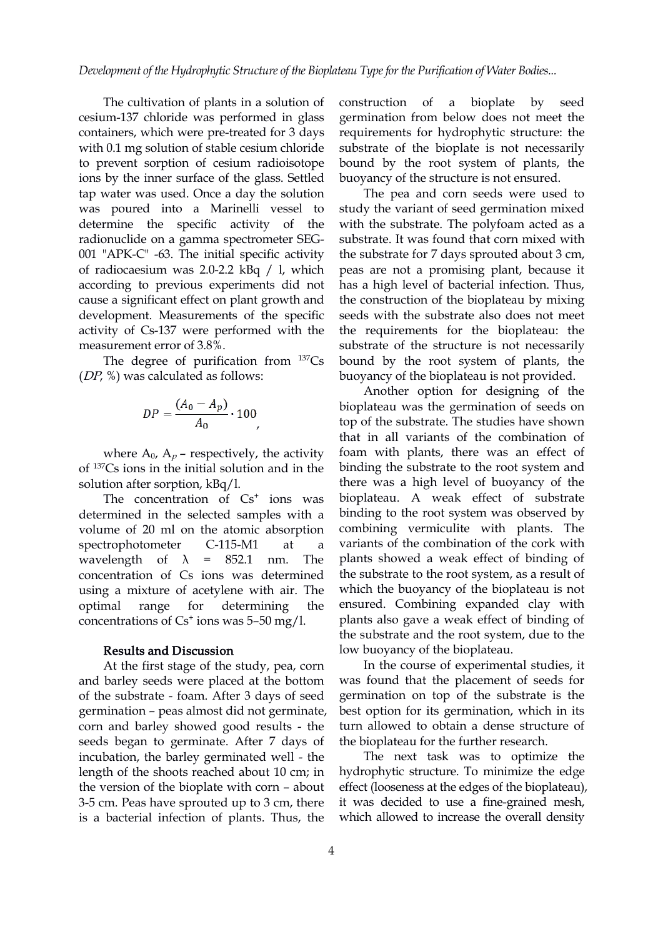The cultivation of plants in a solution of construction of cesium-137 chloride was performed in glass containers, which were pre-treated for 3 days with 0.1 mg solution of stable cesium chloride to prevent sorption of cesium radioisotope ions by the inner surface of the glass. Settled tap water was used. Once a day the solution was poured into a Marinelli vessel to determine the specific activity of the radionuclide on a gamma spectrometer SEG- 001 "APK-C" -63. The initial specific activity of radiocaesium was 2.0-2.2 kBq / l, which according to previous exp[er](https://orcid.org/0000-0001-6509-4456)iments did not cause a significant effect on plant growth a[nd](https://orcid.org/0000-0003-4192-3955) development. Measurements of the specific activity of Cs-137 were performed with the measurement error of 3.8%.

The degree of purification from <sup>137</sup>Cs (DP, %) was calculated as follows:

$$
DP = \frac{(A_0 - A_p)}{A_0} \cdot 100
$$

where  $A_0$ ,  $A_p$  – respectively, the activity of <sup>137</sup>Cs ions in the initial solution and in the solution after sorption, kBq/l.

The concentration of  $Cs<sup>+</sup>$  ions was bio determined in the selected samples with a volume of 20 ml on the atomic absorption spectrophotometer C-115-M1 at a wavelength of  $\lambda$  = 852.1 nm. The concentration of Cs ions was determined using a mixture of acetylene with air. The concentrations of Cs + ions was 5–50 mg/l.

### Results and Discussion

At the first stage of the study, pea, corn and barley seeds were placed at the bottom of the substrate - foam. After 3 days of seed germination – peasalmost did not germinate, corn and barley showed good results - the seeds began to germinate. After 7 days of incubation, the barley germinated well - the length of the shoots reached about 10 cm; in the version of the bioplate with corn – about 3-5 cm. Peas have sprouted up to 3cm, there is a bacterial infection of plants. Thus, the

construction of a bioplate by seed germination from below does not meet the requirements for hydrophytic structure: the substrate of the bioplate is not necessarily bound by the root system of plants, the buoyancy of the structure is not ensured.

The pea and corn seeds were used to study the variant of seed germination mixed with the substrate. The polyfoam acted as a substrate. It was found that corn mixed with the substrate for 7 days sprouted about 3 cm, peas are not a promising plant, because it has a hig[h](https://orcid.org/0000-0003-4369-1019) level of bacterial infec[tio](https://orcid.org/0000-0003-2857-894X)n. Thus, the construction of t[he](https://orcid.org/0000-0003-3730-2400) bioplateau by mixing seeds with the substrate also does not meet the requirements for the bioplateau: the substrate of the structure is not necessarily bound by the root system of plants, the buoyancy of the bioplateau is not provided.

ions was bioplateau. A weak effect of substrate optimal range for determining the ensured. Combining expanded clay with Another option for designing of the bioplateau was the germination of seeds on top of the substrate. The studies have shown that in all variants of the combination of foam with plants, there was an effect of binding the substrate to the root system and there was a high level of buoyancy of the binding to the root system was observed by combining vermiculite with plants. The variants of the combination of the cork with plants showed a weak effect of binding of the substrate to the root system, as a result of which the buoyancy of the bioplateau is not plants also gave a weak effect of binding of the substrate and the root system, due to the low buoyancy of the bioplateau.

> In the course of experimental studies, it was found that the placement of seeds for germination on top of the substrate is the best option for its germination, which in its turn allowed to obtain a dense structure of the bioplateau for the further research.

> The next task was to optimize the hydrophytic structure. To minimize the edge effect (looseness at the edges of the bioplateau), it was decided to use a fine-grained mesh, which allowed to increase the overall density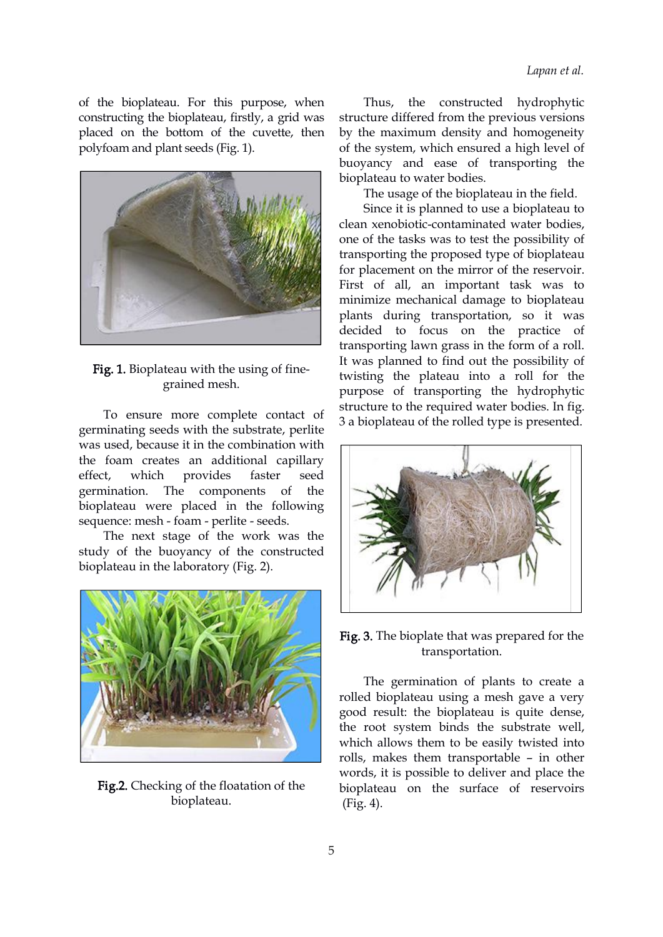of the bioplateau. For this purpose, when constructing the bioplateau, firstly, a grid was placed on the bottom of the cuvette, then polyfoam and plant seeds (Fig. 1).



Fig. 1. Bioplateau with the using of fine grained mesh.

To ensure more complete contact of germinating seeds with the substrate, perlite was used, because it in the combination with the foam creates an additional capillary effect, which provides faster seed germination. The components of the bioplateau were placed in the following sequence: mesh - foam - perlite - seeds.

The next stage of the work was the study of the buoyancy of the constructed bioplateau in the laboratory (Fig. 2).



Fig.2. Checking of the floatation of the bioplateau.

the constructed hydrophytic structure differed from the previous versions by the maximum density and homogeneity of the system, which ensured a high level of buoyancy and ease of transporting the bioplateau to water bodies.

The usage of the bioplateau in the field.

Since it is planned to use a bioplateau to clean xenobiotic-contaminated water bodies, one of the tasks was to test the possibility of transporting the proposed type of bioplateau for placement on the mirror of the reservoir. First of [a](https://orcid.org/0000-0003-4369-1019)ll, an important tas[k](https://orcid.org/0000-0003-2857-894X) was to minimize mechanical [d](https://orcid.org/0000-0003-3730-2400)amage to bioplateau plants during transportation, so it was decided to focus on the practice of transporting lawn grass in the form of a roll. It was planned to find out the possibility of twisting the plateau into a roll for the purpose of transporting the hydrophytic structure to the required water bodies. In fig. 3 a bioplateau of the rolled type is presented.



Fig. 3. The bioplate that was prepared for the transportation.

The germination of plants to create a rolled bioplateau using a mesh gave a very good result: the bioplateau is quite dense, the root system binds the substrate well, which allows them to be easily twisted into rolls, makes them transportable – in other words, it is possible to deliver and place the bioplateau on the surface of reservoirs (Fig. 4).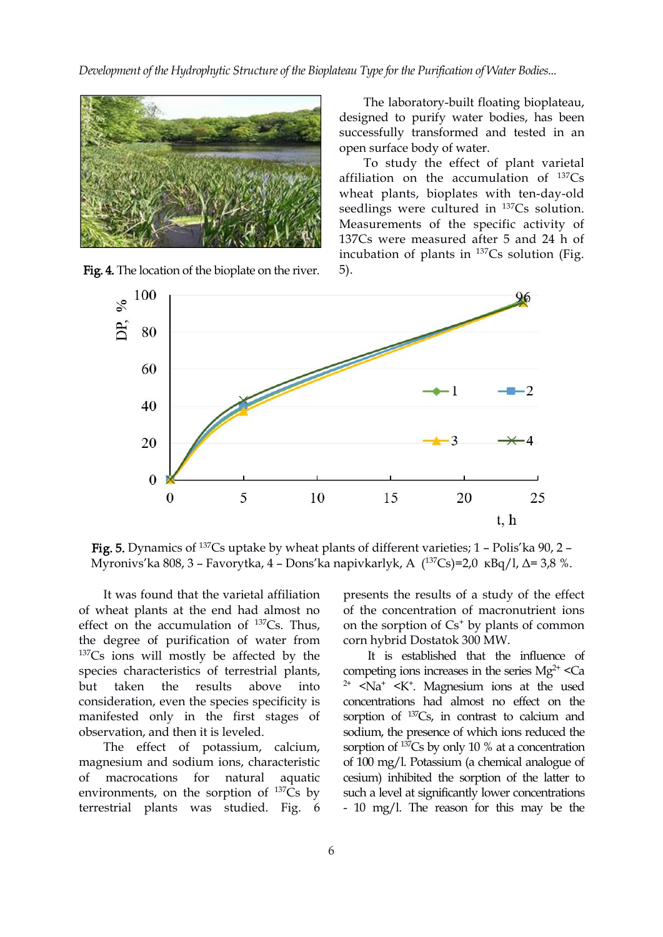*Development of the Hydrophytic Structure of the Bioplateau Typefor the Purification of Water Bodies...*



Fig. 4. The location of the bi[opl](https://orcid.org/0000-0001-6509-4456)ate on the river.

The laboratory-built floating bioplateau, designed to purify water bodies, has been successfully transformed and tested in an open surface body of water.

To study the effect of plant varietal affiliation on the accumulation of <sup>137</sup>Cs wheat plants, bioplates with ten-day-old seedlings were cultured in <sup>137</sup>Cs solution. Measurements of the specific activity of 137Cs were measured after 5 and 24 h of incubation of plants in <sup>137</sup>Cs solution (Fig. 5).



Fig. 5. Dynamics of <sup>137</sup>Cs uptake by wheat plants of different varieties; 1 – Polis'ka 90, 2 – Myronivs'ka 808, 3 – Favorytka, 4 – Dons'ka napivkarlyk, А ( <sup>137</sup>Сs)=2,0 кBq/l, Δ= 3,8 %.

It was found that the varietal affiliation of wheat plants at the end had almost no effect on the accumulation of  $137Cs$ . Thus, on the the degree of purification of water from <sup>137</sup>Cs ions will mostly be affected by the species characteristics of terrestrial plants, but taken the results above into  $2^+$  <Na<sup>+</sup> <K<sup>+</sup>. Magnesium ions at the used consideration, even the species specificity is manifested only in the first stages of observation, and then it is leveled.

The effect of potassium, calcium, magnesium and sodium ions, characteristic of macrocations for natural aquatic cesium) inhibited the sorption of the latter to environments, on the sorption of <sup>137</sup>Cs by terrestrial plants was studied. Fig. 6

presents the results of a study of the effect of the concentration of macronutrient ions on the sorption of  $Cs^+$  by plants of common corn hybrid Dostatok 300 MW.

<sup>137</sup>Cs by such a level at significantly lower concentrations It is established that the influence of competing ions increases in the series  $Mg^{2+} <$ Ca concentrations had almost no effect on the sorption of <sup>137</sup>Cs, in contrast to calcium and sodium, the presence of which ions reduced the sorption of <sup>137</sup>Cs by only 10 % at a concentration of 100 mg/l. Potassium (a chemical analogue of - 10 mg/l. The reason for this may be the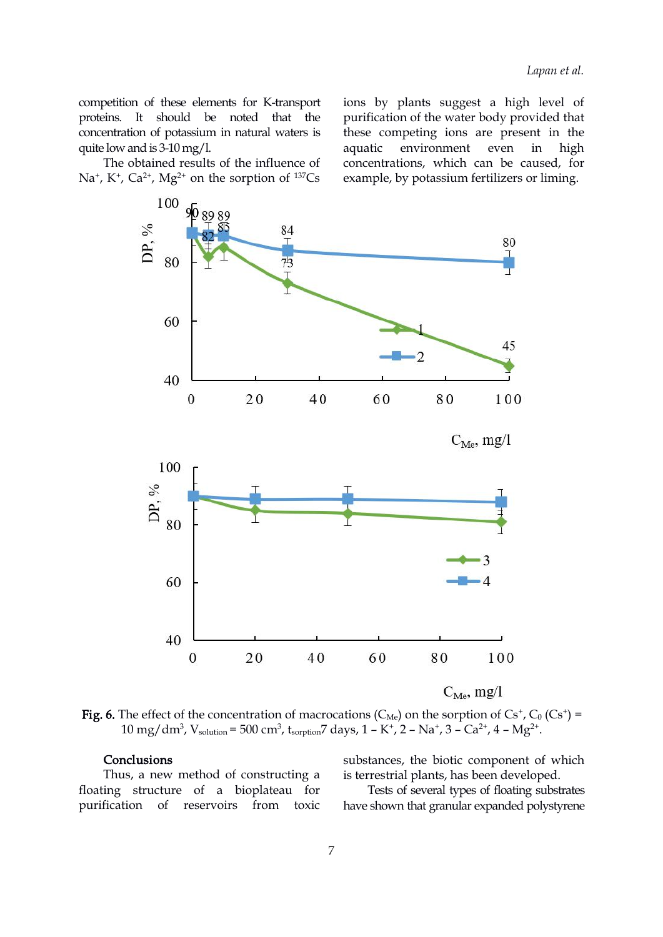competition of these elements for K-transport proteins. It should be noted that the concentration of potassium in natural waters is quite low and is  $3-10$  mg/l.

The obtained results of the influence of Na<sup>+</sup>, K<sup>+</sup>, Ca<sup>2+</sup>, Mg<sup>2+</sup> on the sorption of <sup>137</sup>Cs example, by

<sup>137</sup>Cs example, by potassium fertilizers or liming. ions by plants suggest a high level of purification of the water body provided that these competing ions are present in the aquatic environment even in high concentrations, which can be caused, for



**Fig. 6.** The effect of the concentration of macrocations (C<sub>Me</sub>) on the sorption of Cs<sup>+</sup>, C<sub>0</sub> (Cs<sup>+</sup>) = 10 mg/dm<sup>3</sup>, V<sub>solution</sub> = 500 cm<sup>3</sup>, t<sub>sorption</sub>7 days, 1 – K<sup>+</sup>, 2 – Na<sup>+</sup>, 3 – Ca<sup>2+</sup>, 4 – Mg<sup>2+</sup>. .

#### **Conclusions**

Thus, a new method of constructing a floating structure of a bioplateau for purification of reservoirs from toxic

substances, the biotic component of which is terrestrial plants, has been developed.

Tests of several types of floating substrates have shown that granular expanded polystyrene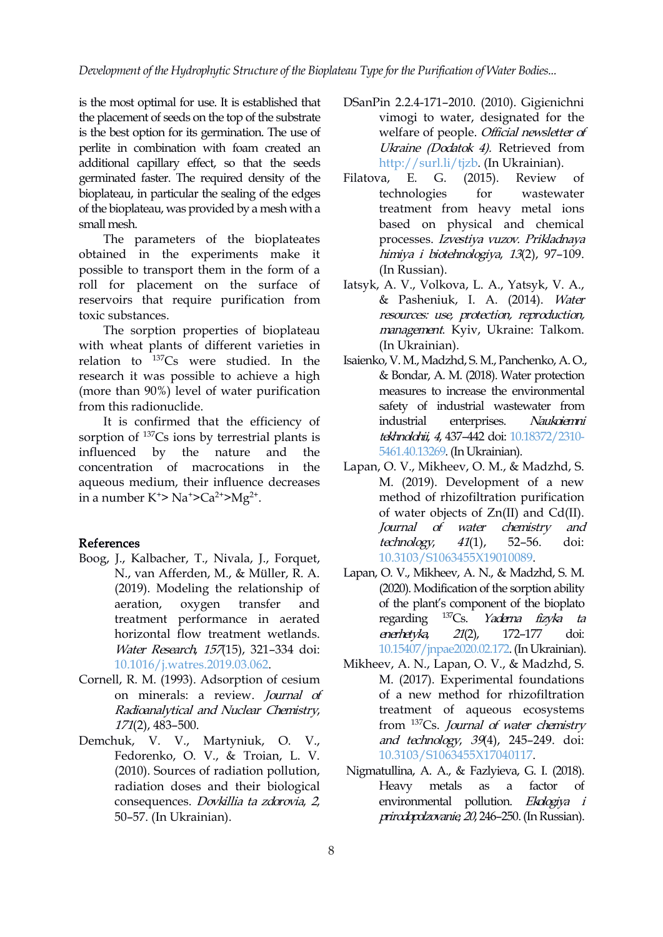*Development of the Hydrophytic Structure of the Bioplateau Typefor the Purification of Water Bodies...*

is the most optimal for use. It is established that the placement of seeds on the top of the substrate is the best option for its germination. The use of perlite in combination with foam created an additional capillary effect, so that the seeds germinated faster. The required density of the Filatova, E. G. bioplateau, in particular the sealing of the edges of the bioplateau, was provided by a mesh with a small mesh.

The parameters of the bioplateates obtained in the experiments make it possible to transport them in the form of a roll for placement on [th](https://orcid.org/0000-0001-6509-4456)e surface of reservoirs that require purification fro[m](https://orcid.org/0000-0003-4192-3955) toxic substances.

The sorption properties of bioplateau with wheat plants of different varieties in relation to <sup>137</sup>Cs were studied. In the Isaienko, V.M., M research it was possible to achieve a high (more than 90%) level of water purification from this radionuclide.

It is confirmed that the efficiency of industrial sorption of <sup>137</sup>Cs ions by terrestrial plants is tekhnology influenced by the nature and the concentration of macrocations in the aqueous medium, their influence decreases in a number K<sup>+</sup>> Na<sup>+</sup>>Ca<sup>2+</sup>>Mg<sup>2+</sup>. .

#### References

- Boog, J., Kalbacher, T., Nivala, J., Forquet, N., van Afferden, M.,& Müller, R. A. (2019). Modeling the relationship of treatment performance in aerated regarding <sup>137</sup>Cs. horizontal flow treatment wetlands. Water Research, 157(15), 321-334 doi: [10.1016/j.watres.2019.03.062.](https://doi.org/10.1016/j.watres.2019.03.062)
- Cornell, R. M. (1993). Adsorption of cesium on minerals: а review. Journal of Radioanalytical and Nuclear Chemistry, 171(2), 483–500.
- Demchuk, V. V., Martyniuk, O. V., Fedorenko, O. V., & Troian, L. V. (2010). Sources of radiation pollution, radiation doses and their biological consequences. Dovkillia ta zdorovia, 2, 50–57. (In Ukrainian).
- DSanPin 2.2.4-171–2010. (2010). Gіgієnіchnі vimogi to water, designated for the welfare of people. Official newsletter of Ukraine (Dodatok 4). Retrieved from <http://surl.li/tjzb>. (In Ukrainian).
- Filatova, E. G. (2015). Review of technologies for wastewater treatment from heavy metal ions based on physical and chemical processes. Izvestiya vuzov. Prikladnaya himiya <sup>i</sup> biotehnologiya, <sup>13</sup>(2), 97–109. (In Russian).
- Iatsyk, [A.](https://orcid.org/0000-0003-4369-1019) V., Volkova, L. A., Yat[sy](https://orcid.org/0000-0003-2857-894X)k, V. A., & Pasheniuk[,](https://orcid.org/0000-0003-3730-2400) I. A. (2014). Water resources: use, protection, reproduction, management. Kyiv, Ukraine: Talkom. (In Ukrainian).
- Isaienko, V. M., Madzhd, S. M., Panchenko, A. O., & Bondar, A. M. (2018). Water protection measures to increase the environmental safety of industrial wastewater from enterprises. Naukoiemni tekhnolohii, 4, 437-442 doi: [10.18372/2310-](https://doi.org/10.18372/2310-5461.40.13269) 5461.40.13269.(In Ukrainian).
- Lapan, O. V., Mikheev, O. M., & Madzhd, S. M. (2019). Development of a new method of rhizofiltration purification of water objects of Zn(II) and Cd(II). Journal of water chemistry and technology, <sup>41</sup>(1), 52–56. doi: [10.3103/S1063455X19010089](https://doi.org/10.3103/S1063455X19010089).
- aeration, oxygen transfer and of the plant's component of the bioplato Lapan, O. V., Mikheev, A. N., & Madzhd, S. M. (2020). Modification of the sorption ability regarding <sup>137</sup>Cs. *Yaderna fizyka ta* enerhetyka, <sup>21</sup>(2), 172–177 doi: [10.15407/jnpae2020.02.172](https://doi.org/10.15407/jnpae2020.02.172).(In Ukrainian).
	- Mikheev, A. N., Lapan, O. V., & Madzhd, S. M. (2017). Experimental foundations of a new method for rhizofiltration treatment of aqueous ecosystems from <sup>137</sup>Cs. Journal of water chemistry and technology, <sup>39</sup>(4), 245–249. doi: [10.3103/S1063455X17040117](https://doi.org/10.3103/S1063455X17040117).
	- Nigmatullina, A. A., & Fazlyieva, G. I. (2018). Heavy metals as a factor of environmental pollution. Ekologiya i prirodopolzovanie, <sup>20</sup>, 246–250.(InRussian).